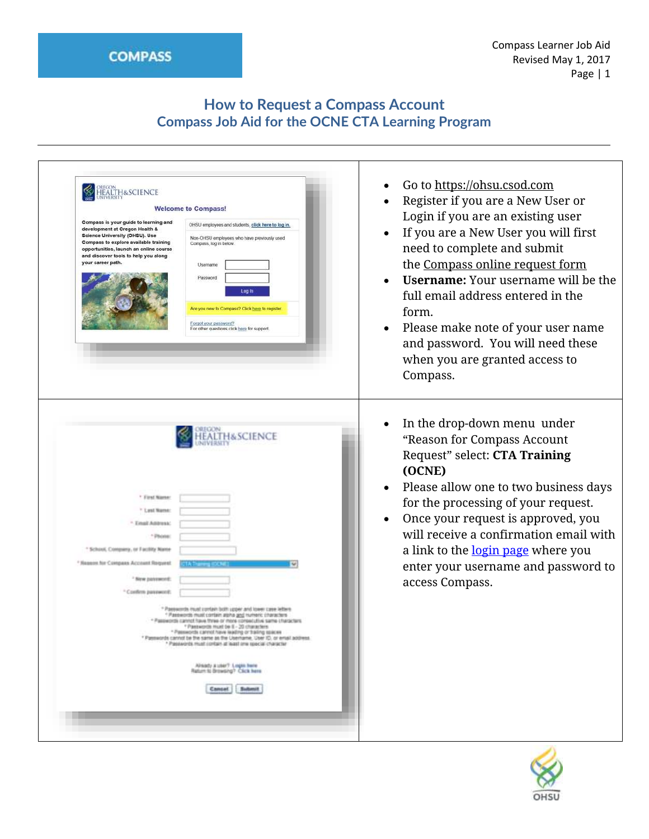# **How to Request a Compass Account Compass Job Aid for the OCNE CTA Learning Program**

| <b>HEALTH&amp;SCIENCE</b><br>Compass is your guide to learning and<br>development at Oregon Health &<br><b>Science University (OHSU). Use</b><br>Compass to explore available training<br>opportunities, launch an online course<br>and discover tools to help you along<br>your career path. | <b>Welcome to Compass!</b><br>OHSU employees and students, click here to log in.<br>Non-OHSU employees who have previously used<br>Compass, log in below.<br>Username<br>Password<br>Log In<br>Are you new to Compass? Click here to register.<br>Forgot your password?<br>For other questions click here for support.                                                                                                                                                                                               | Go to https://ohsu.csod.com<br>Register if you are a New User or<br>Login if you are an existing user<br>If you are a New User you will first<br>need to complete and submit<br>the Compass online request form<br><b>Username:</b> Your username will be the<br>full email address entered in the<br>form.<br>Please make note of your user name<br>and password. You will need these<br>when you are granted access to<br>Compass. |
|-----------------------------------------------------------------------------------------------------------------------------------------------------------------------------------------------------------------------------------------------------------------------------------------------|----------------------------------------------------------------------------------------------------------------------------------------------------------------------------------------------------------------------------------------------------------------------------------------------------------------------------------------------------------------------------------------------------------------------------------------------------------------------------------------------------------------------|--------------------------------------------------------------------------------------------------------------------------------------------------------------------------------------------------------------------------------------------------------------------------------------------------------------------------------------------------------------------------------------------------------------------------------------|
| <sup>7</sup> First Name<br><sup>7</sup> Last Name<br><sup>1</sup> . Email Address:<br>* School, Company, or Facility Name<br><sup>1</sup> Nageon for Company Account Request<br>Sing postpaned:<br><sup>2</sup> Confirm passworth                                                             | &SCIENCE<br>* Provesumets Hyuel contact both Lotsic and tower case betwee<br>" Passwords must contain alpha <u>and</u> twineric characters<br>assesses cannot have three or more consecutive same characters.<br>* Pantworth must be 8 - 20 characters<br>· Passworth cannot have leading or trailing spaces<br>* Passwords cannot be the same as the Userhame, User ID, or ernal address.<br>* Passworts must contain at least one special character<br>Allsady a user? Legin here<br>Ratum to Browsing? Click here | In the drop-down menu under<br>"Reason for Compass Account<br>Request" select: CTA Training<br>(OCNE)<br>Please allow one to two business days<br>for the processing of your request.<br>Once your request is approved, you<br>will receive a confirmation email with<br>a link to the login page where you<br>enter your username and password to<br>access Compass.                                                                |
|                                                                                                                                                                                                                                                                                               | Submit<br><b>Campel</b>                                                                                                                                                                                                                                                                                                                                                                                                                                                                                              |                                                                                                                                                                                                                                                                                                                                                                                                                                      |

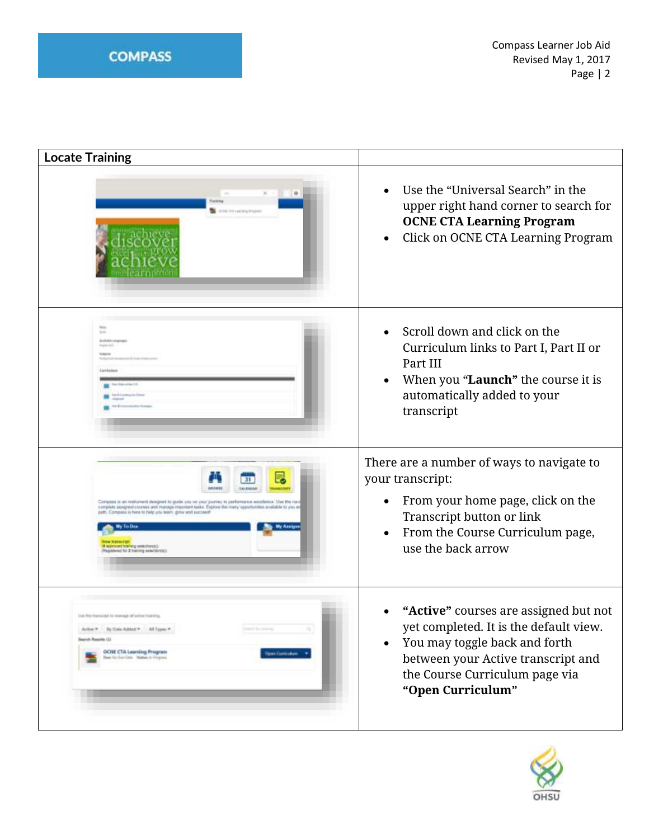| <b>Locate Training</b>                                                                                                                                                                                                                                                                                                     |                                                                                                                                                                                                                            |
|----------------------------------------------------------------------------------------------------------------------------------------------------------------------------------------------------------------------------------------------------------------------------------------------------------------------------|----------------------------------------------------------------------------------------------------------------------------------------------------------------------------------------------------------------------------|
|                                                                                                                                                                                                                                                                                                                            | Use the "Universal Search" in the<br>upper right hand corner to search for<br><b>OCNE CTA Learning Program</b><br>Click on OCNE CTA Learning Program<br>$\bullet$                                                          |
| bone.<br><b>Bradford List</b>                                                                                                                                                                                                                                                                                              | Scroll down and click on the<br>Curriculum links to Part I, Part II or<br>Part III<br>When you "Launch" the course it is<br>$\bullet$<br>automatically added to your<br>transcript                                         |
| Company is an instigment designed to guide you on your purincy to performance excellence. Use the run<br>gildle senigred courses and marsige important tasks. Explore the many<br>aft: Company in here to help you learn grow and auctional<br><b>My Fo Dos</b><br>of traversy selectionistic<br>to 2 training seasobores: | There are a number of ways to navigate to<br>your transcript:<br>From your home page, click on the<br>$\bullet$<br>Transcript button or link<br>From the Course Curriculum page,<br>$\bullet$<br>use the back arrow        |
| line RAI Forsetted for insmalls all active featuring<br>Action * by Date Added * All Types *<br>learch Rosalds (2)<br><b>OCHE CTA Learning Program</b><br><b>Done Cartraken</b><br>Dave for Due-Dave - Matten to Frequent                                                                                                  | "Active" courses are assigned but not<br>yet completed. It is the default view.<br>You may toggle back and forth<br>$\bullet$<br>between your Active transcript and<br>the Course Curriculum page via<br>"Open Curriculum" |

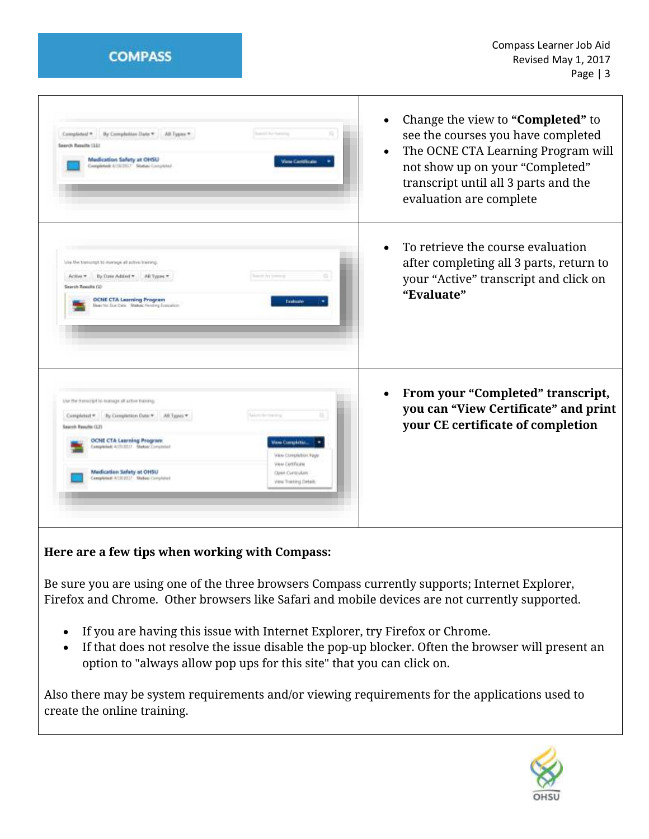**COMPASS** 

| By Completion Date * All Types *<br>Completed <sup>*</sup><br>Scanner Sat Statement<br>Search Results (IL)<br>Medication Safety at OHSU<br><b>View Cartificate</b><br>Completed: 4/06/3017 Stomas Completed                                                                                                                                                                                                                        | Change the view to "Completed" to<br>$\bullet$<br>see the courses you have completed<br>The OCNE CTA Learning Program will<br>$\bullet$<br>not show up on your "Completed"<br>transcript until all 3 parts and the<br>evaluation are complete |
|------------------------------------------------------------------------------------------------------------------------------------------------------------------------------------------------------------------------------------------------------------------------------------------------------------------------------------------------------------------------------------------------------------------------------------|-----------------------------------------------------------------------------------------------------------------------------------------------------------------------------------------------------------------------------------------------|
| Lisa the transmitt to manage all active training.<br>By Date Addited + AB Types +<br>South for prevent<br>Active *<br>Search Results (1)<br><b>OCNE CTA Learning Program</b><br>Evakuate<br>Beautiful Due Conc. Statue: Pending Evaluation                                                                                                                                                                                         | To retrieve the course evaluation<br>$\bullet$<br>after completing all 3 parts, return to<br>your "Active" transcript and click on<br>"Evaluate"                                                                                              |
| lite the trenscript to execute all active transmis-<br>ü.<br>By Completion Date = All Types =<br>Completed *<br>Tuesdy for Shering<br>Search Renalts (12)<br><b>OCNE CTA Learning Program</b><br>View Completion<br><b>Completed: ILTILITILY Blutost Completed</b><br>View Correstation Page<br>View Certificate<br>Medication Safety at OHSU<br>Open Combulant<br>Completed (VLS130)? Shehen Completed<br>View Trailbirig Dytalls | From your "Completed" transcript,<br>you can "View Certificate" and print<br>your CE certificate of completion                                                                                                                                |

**Here are a few tips when working with Compass:**

Be sure you are using one of the three browsers Compass currently supports; Internet Explorer, Firefox and Chrome. Other browsers like Safari and mobile devices are not currently supported.

- If you are having this issue with Internet Explorer, try Firefox or Chrome.
- If that does not resolve the issue disable the pop-up blocker. Often the browser will present an option to "always allow pop ups for this site" that you can click on.

Also there may be system requirements and/or viewing requirements for the applications used to create the online training.